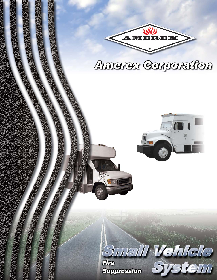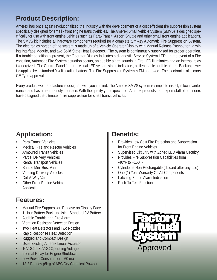### **Product Description:**

Amerex has once again revolutionalized the industry with the developement of a cost effecient fire suppression system specifically designed for small - front engine transit vehicles. The Amerex Small Vehicle System (SMVS) is designed specifically for use with front engine vehicles such as Para-Transit, Airport Shuttle and other small front engine applications. The SMVS kit includes all hardware components required for a complete turn-key Automatic Fire Suppression System. The electronics portion of the system is made up of a Vehicle Operator Display with Manual Release Pushbutton, a wiring Interface Module, and two Solid State Heat Detectors. The system is continuously supervised for proper operation. If a trouble condition is present, the Operator Display indicates a diagnostic Service System LED. In the event of a Fire condition, Automatic Fire System actuation occurs, an audible alarm sounds, a Fire LED illuminates and an internal relay is energized. The Control Panel features visual LED system status indicators, a silenceable audible alarm. Backup power is supplied by a standard 9 volt alkaline battery. The Fire Suppression System is FM approved. The electronics also carry CE Type approval.

Every product we manufacture is designed with you in mind. The Amerex SMVS system is simple to install, is low maintenance, and has a user friendly interface. With the quality you expect from Amerex products, our expert staff of engineers have designed the ultimate in fire suppression for small transit vehicles.

## **Application:**

- Para-Transit Vehicles •
- Medical, Fire and Rescue Vehicles •
- Armoured Transit Vehicles •
- Parcel Delivery Vehicles •
- Rental Transport Vehicles •
- Shuttle Mini-Bus, Van •
- Vending Delivery Vehicles •
- Cut-A-Way Van •
- Other Front Engine Vehicle Applications •

### **Features:**

- Manual Fire Suppression Release on Display Face •
- 1 Hour Battery Back-up Using Standard 9V Battery •
- Audible Trouble and Fire Alarm •
- Vibration Resistant Detection Design •
- Two Heat Detectors and Two Nozzles •
- Rapid Response Heat Detection •
- Rugged and Compact Design •
- Uses Existing Amerex Linear Actuator •
- 10VDC to 30VDC Operating Voltage •
- Internal Relay for Engine Shutdown •
- Low Power Consumption 60 ma •
- 13.2 Pounds (6kg) of ABC Dry Chemical Powder •

### **Benefi ts:**

- Provides Low Cost Fire Detection and Suppression for Front Engine Vehicles •
- Supervised Circuitry with Zoned LED Alarm Circuitry •
- Provides Fire Suppression Capabilities from -40°F to +150°F •
- Cylinder is Non-Rechargable (discard after any use) •
- One (1) Year Warranty On All Components •
- Latching-Zoned Alarm Indication •
- Push-To-Test Function •

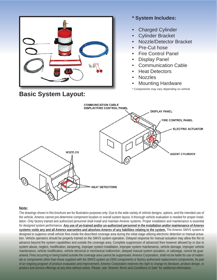



#### **Note:**

The drawings shown in this brochure are for illustration purposes only. Due to the wide variety of vehicle designs, options, and the intended use of the vehicle, Amerex cannot pre-determine component location or overall system layout. A thorough vehicle evaluation is needed for proper installation. Only factory trained and authorized personnel shall install and maintain Amerex systems. Proper installation and maintenance is essential for designed system performance. **Any use of un-trained and/or un-authorized personnel in the installation and/or maintenance of Amerex systems voids any and all Amerex warranties and absolves Amerex of any liabilities relating to the system.** The Amerex SMVS system is designed to suppress small vehicle fires inside the described coverage area during the initial stage utilizing electronic detection or manual actuation. Vehicle operators should be properly trained on the SMVS system operation. Delayed response for manual actuation may allow the fire to advance beyond the system capabilities and outside the coverage area. Complete suppression of advanced fires however allowed by or due to system abuse, neglect, modification, tampering, improper system installation, improper system maintenance, vehicle damage, improper vehicle maintenance, vehicle modification, vehicle electrical or mechanical malfunction, delayed manual system actuation, or sabotage, cannot be guaranteed. Fires occurring or being fueled outside the coverage area cannot be suppressed. Amerex Corporation, shall not be liable for use of materials or components other than those supplied with the SMVS system as OEM components or factory authorized replacement components. As part of an ongoing program of product evaluation and improvement, Amerex Corporation reserves the right to change its literature, product design, or product and service offerings at any time without notice. Please see *"Amerex Terms and Conditions of Sale"* for additional information.